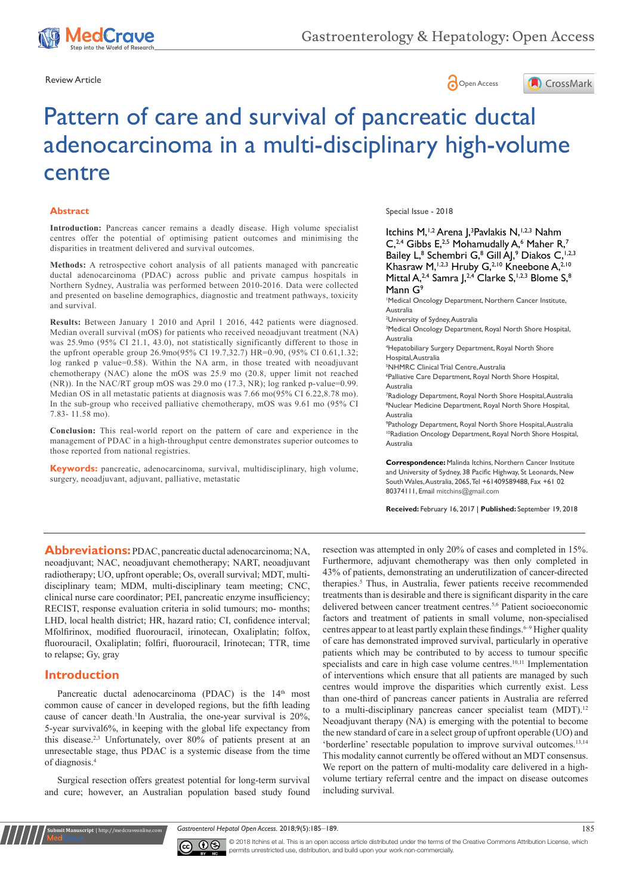





# Pattern of care and survival of pancreatic ductal adenocarcinoma in a multi-disciplinary high-volume centre

#### **Abstract**

**Introduction:** Pancreas cancer remains a deadly disease. High volume specialist centres offer the potential of optimising patient outcomes and minimising the disparities in treatment delivered and survival outcomes.

**Methods:** A retrospective cohort analysis of all patients managed with pancreatic ductal adenocarcinoma (PDAC) across public and private campus hospitals in Northern Sydney, Australia was performed between 2010-2016. Data were collected and presented on baseline demographics, diagnostic and treatment pathways, toxicity and survival.

**Results:** Between January 1 2010 and April 1 2016, 442 patients were diagnosed. Median overall survival (mOS) for patients who received neoadjuvant treatment (NA) was 25.9mo (95% CI 21.1, 43.0), not statistically significantly different to those in the upfront operable group 26.9mo(95% CI 19.7,32.7) HR=0.90, (95% CI 0.61,1.32; log ranked p value=0.58). Within the NA arm, in those treated with neoadjuvant chemotherapy (NAC) alone the mOS was 25.9 mo (20.8, upper limit not reached (NR)). In the NAC/RT group mOS was 29.0 mo (17.3, NR); log ranked p-value=0.99. Median OS in all metastatic patients at diagnosis was 7.66 mo(95% CI 6.22,8.78 mo). In the sub-group who received palliative chemotherapy, mOS was 9.61 mo (95% CI 7.83- 11.58 mo).

**Conclusion:** This real-world report on the pattern of care and experience in the management of PDAC in a high-throughput centre demonstrates superior outcomes to those reported from national registries.

**Keywords:** pancreatic, adenocarcinoma, survival, multidisciplinary, high volume, surgery, neoadjuvant, adjuvant, palliative, metastatic

Special Issue - 2018

Itchins M,<sup>1,2</sup> Arena J,<sup>3</sup> Pavlakis N,<sup>1,2,3</sup> Nahm  $C<sub>1</sub><sup>2,4</sup>$  Gibbs E,<sup>2,5</sup> Mohamudally A,<sup>6</sup> Maher R,<sup>7</sup> Bailey L,<sup>8</sup> Schembri G,<sup>8</sup> Gill AJ,<sup>9</sup> Diakos C,<sup>1,2,3</sup> Khasraw M, 1,2,3 Hruby G, 2,10 Kneebone A, 2,10 Mittal A,<sup>2,4</sup> Samra J,<sup>2,4</sup> Clarke S,<sup>1,2,3</sup> Blome S,<sup>8</sup> Mann G<sup>9</sup>

1 Medical Oncology Department, Northern Cancer Institute, Australia

2 University of Sydney, Australia

3 Medical Oncology Department, Royal North Shore Hospital, Australia

4 Hepatobiliary Surgery Department, Royal North Shore Hospital, Australia

5 NHMRC Clinical Trial Centre, Australia

6 Palliative Care Department, Royal North Shore Hospital, Australia

7 Radiology Department, Royal North Shore Hospital, Australia 8 Nuclear Medicine Department, Royal North Shore Hospital, Australia

9 Pathology Department, Royal North Shore Hospital, Australia 10Radiation Oncology Department, Royal North Shore Hospital, Australia

**Correspondence:** Malinda Itchins, Northern Cancer Institute and University of Sydney, 38 Pacific Highway, St Leonards, New South Wales, Australia, 2065, Tel +61409589488, Fax +61 02 80374111, Email mitchins@gmail.com

**Received:** February 16, 2017 | **Published:** September 19, 2018

**Abbreviations:** PDAC, pancreatic ductal adenocarcinoma; NA, neoadjuvant; NAC, neoadjuvant chemotherapy; NART, neoadjuvant radiotherapy; UO, upfront operable; Os, overall survival; MDT, multidisciplinary team; MDM, multi-disciplinary team meeting; CNC, clinical nurse care coordinator; PEI, pancreatic enzyme insufficiency; RECIST, response evaluation criteria in solid tumours; mo- months; LHD, local health district; HR, hazard ratio; CI, confidence interval; Mfolfirinox, modified fluorouracil, irinotecan, Oxaliplatin; folfox, fluorouracil, Oxaliplatin; folfiri, fluorouracil, Irinotecan; TTR, time to relapse; Gy, gray

#### **Introduction**

**it Manuscript** | http://medcraveonline.c

Pancreatic ductal adenocarcinoma (PDAC) is the 14<sup>th</sup> most common cause of cancer in developed regions, but the fifth leading cause of cancer death.<sup>1</sup>In Australia, the one-year survival is 20%, 5-year survival6%, in keeping with the global life expectancy from this disease.<sup>2,3</sup> Unfortunately, over 80% of patients present at an unresectable stage, thus PDAC is a systemic disease from the time of diagnosis.4

Surgical resection offers greatest potential for long-term survival and cure; however, an Australian population based study found resection was attempted in only 20% of cases and completed in 15%. Furthermore, adjuvant chemotherapy was then only completed in 43% of patients, demonstrating an underutilization of cancer-directed therapies.<sup>5</sup> Thus, in Australia, fewer patients receive recommended treatments than is desirable and there is significant disparity in the care delivered between cancer treatment centres.5,6 Patient socioeconomic factors and treatment of patients in small volume, non-specialised centres appear to at least partly explain these findings.<sup>6-9</sup> Higher quality of care has demonstrated improved survival, particularly in operative patients which may be contributed to by access to tumour specific specialists and care in high case volume centres.<sup>10,11</sup> Implementation of interventions which ensure that all patients are managed by such centres would improve the disparities which currently exist. Less than one-third of pancreas cancer patients in Australia are referred to a multi-disciplinary pancreas cancer specialist team (MDT).<sup>12</sup> Neoadjuvant therapy (NA) is emerging with the potential to become the new standard of care in a select group of upfront operable (UO) and 'borderline' resectable population to improve survival outcomes.13,14 This modality cannot currently be offered without an MDT consensus. We report on the pattern of multi-modality care delivered in a highvolume tertiary referral centre and the impact on disease outcomes including survival.

Gastroenterol Hepatol Open Access. 2018;9(5):185-189. 185



© 2018 Itchins et al. This is an open access article distributed under the terms of the [Creative Commons Attribution License,](https://creativecommons.org/licenses/by-nc/4.0/) which permits unrestricted use, distribution, and build upon your work non-commercially.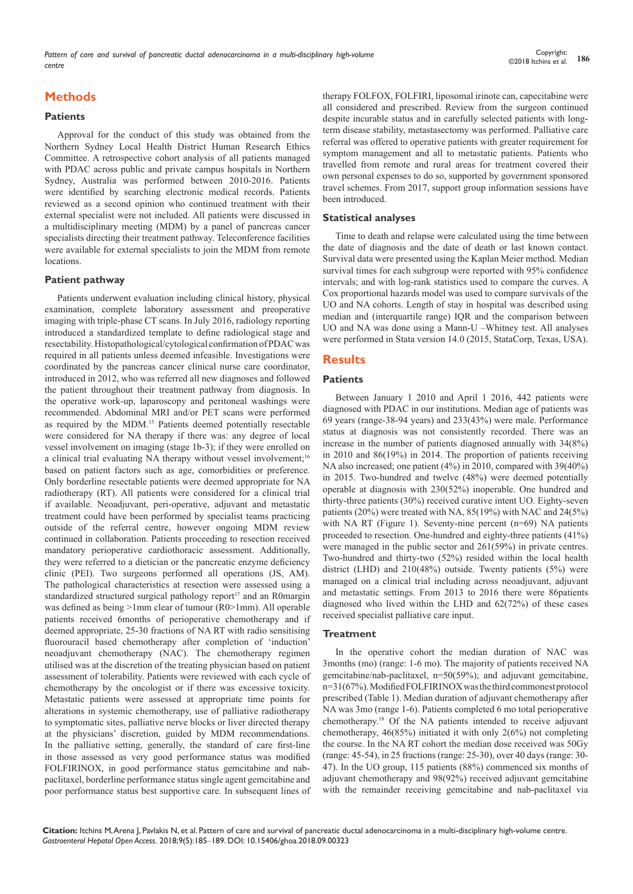*Pattern of care and survival of pancreatic ductal adenocarcinoma in a multi-disciplinary high-volume centre* **<sup>186</sup>** Copyright:

# **Methods**

#### **Patients**

Approval for the conduct of this study was obtained from the Northern Sydney Local Health District Human Research Ethics Committee. A retrospective cohort analysis of all patients managed with PDAC across public and private campus hospitals in Northern Sydney, Australia was performed between 2010-2016. Patients were identified by searching electronic medical records. Patients reviewed as a second opinion who continued treatment with their external specialist were not included. All patients were discussed in a multidisciplinary meeting (MDM) by a panel of pancreas cancer specialists directing their treatment pathway. Teleconference facilities were available for external specialists to join the MDM from remote locations.

#### **Patient pathway**

Patients underwent evaluation including clinical history, physical examination, complete laboratory assessment and preoperative imaging with triple-phase CT scans. In July 2016, radiology reporting introduced a standardized template to define radiological stage and resectability. Histopathological/cytological confirmation of PDAC was required in all patients unless deemed infeasible. Investigations were coordinated by the pancreas cancer clinical nurse care coordinator, introduced in 2012, who was referred all new diagnoses and followed the patient throughout their treatment pathway from diagnosis. In the operative work-up, laparoscopy and peritoneal washings were recommended. Abdominal MRI and/or PET scans were performed as required by the MDM.15 Patients deemed potentially resectable were considered for NA therapy if there was: any degree of local vessel involvement on imaging (stage 1b-3); if they were enrolled on a clinical trial evaluating NA therapy without vessel involvement;<sup>16</sup> based on patient factors such as age, comorbidities or preference. Only borderline resectable patients were deemed appropriate for NA radiotherapy (RT). All patients were considered for a clinical trial if available. Neoadjuvant, peri-operative, adjuvant and metastatic treatment could have been performed by specialist teams practicing outside of the referral centre, however ongoing MDM review continued in collaboration. Patients proceeding to resection received mandatory perioperative cardiothoracic assessment. Additionally, they were referred to a dietician or the pancreatic enzyme deficiency clinic (PEI). Two surgeons performed all operations (JS, AM). The pathological characteristics at resection were assessed using a standardized structured surgical pathology report<sup>17</sup> and an R0margin was defined as being >1mm clear of tumour (R0>1mm). All operable patients received 6months of perioperative chemotherapy and if deemed appropriate, 25-30 fractions of NA RT with radio sensitising fluorouracil based chemotherapy after completion of 'induction' neoadjuvant chemotherapy (NAC). The chemotherapy regimen utilised was at the discretion of the treating physician based on patient assessment of tolerability. Patients were reviewed with each cycle of chemotherapy by the oncologist or if there was excessive toxicity. Metastatic patients were assessed at appropriate time points for alterations in systemic chemotherapy, use of palliative radiotherapy to symptomatic sites, palliative nerve blocks or liver directed therapy at the physicians' discretion, guided by MDM recommendations. In the palliative setting, generally, the standard of care first-line in those assessed as very good performance status was modified FOLFIRINOX, in good performance status gemcitabine and nabpaclitaxel, borderline performance status single agent gemcitabine and poor performance status best supportive care. In subsequent lines of therapy FOLFOX, FOLFIRI, liposomal irinote can, capecitabine were all considered and prescribed. Review from the surgeon continued despite incurable status and in carefully selected patients with longterm disease stability, metastasectomy was performed. Palliative care referral was offered to operative patients with greater requirement for symptom management and all to metastatic patients. Patients who travelled from remote and rural areas for treatment covered their own personal expenses to do so, supported by government sponsored travel schemes. From 2017, support group information sessions have been introduced.

#### **Statistical analyses**

Time to death and relapse were calculated using the time between the date of diagnosis and the date of death or last known contact. Survival data were presented using the Kaplan Meier method. Median survival times for each subgroup were reported with 95% confidence intervals; and with log-rank statistics used to compare the curves. A Cox proportional hazards model was used to compare survivals of the UO and NA cohorts. Length of stay in hospital was described using median and (interquartile range) IQR and the comparison between UO and NA was done using a Mann-U –Whitney test. All analyses were performed in Stata version 14.0 (2015, StataCorp, Texas, USA).

# **Results**

#### **Patients**

Between January 1 2010 and April 1 2016, 442 patients were diagnosed with PDAC in our institutions. Median age of patients was 69 years (range-38-94 years) and 233(43%) were male. Performance status at diagnosis was not consistently recorded. There was an increase in the number of patients diagnosed annually with 34(8%) in 2010 and 86(19%) in 2014. The proportion of patients receiving NA also increased; one patient (4%) in 2010, compared with 39(40%) in 2015. Two-hundred and twelve (48%) were deemed potentially operable at diagnosis with 230(52%) inoperable. One hundred and thirty-three patients (30%) received curative intent UO. Eighty-seven patients (20%) were treated with NA, 85(19%) with NAC and 24(5%) with NA RT (Figure 1). Seventy-nine percent (n=69) NA patients proceeded to resection. One-hundred and eighty-three patients (41%) were managed in the public sector and 261(59%) in private centres. Two-hundred and thirty-two (52%) resided within the local health district (LHD) and 210(48%) outside. Twenty patients (5%) were managed on a clinical trial including across neoadjuvant, adjuvant and metastatic settings. From 2013 to 2016 there were 86patients diagnosed who lived within the LHD and 62(72%) of these cases received specialist palliative care input.

#### **Treatment**

In the operative cohort the median duration of NAC was 3months (mo) (range: 1-6 mo). The majority of patients received NA gemcitabine/nab-paclitaxel, n=50(59%); and adjuvant gemcitabine, n=31(67%). Modified FOLFIRINOX was the third commonest protocol prescribed (Table 1). Median duration of adjuvant chemotherapy after NA was 3mo (range 1-6). Patients completed 6 mo total perioperative chemotherapy.18 Of the NA patients intended to receive adjuvant chemotherapy, 46(85%) initiated it with only 2(6%) not completing the course. In the NA RT cohort the median dose received was 50Gy (range: 45-54), in 25 fractions (range: 25-30), over 40 days (range: 30- 47). In the UO group, 115 patients (88%) commenced six months of adjuvant chemotherapy and 98(92%) received adjuvant gemcitabine with the remainder receiving gemcitabine and nab-paclitaxel via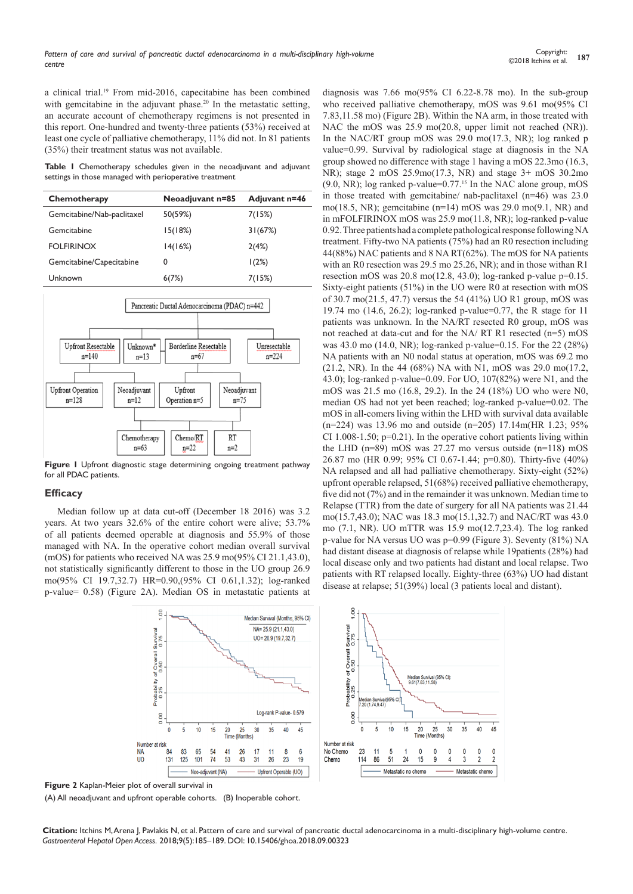a clinical trial.<sup>19</sup> From mid-2016, capecitabine has been combined with gemcitabine in the adjuvant phase.<sup>20</sup> In the metastatic setting, an accurate account of chemotherapy regimens is not presented in this report. One-hundred and twenty-three patients (53%) received at least one cycle of palliative chemotherapy, 11% did not. In 81 patients (35%) their treatment status was not available.

**Table 1** Chemotherapy schedules given in the neoadjuvant and adjuvant settings in those managed with perioperative treatment

| Chemotherapy               | Neoadjuvant n=85 | Adjuvant n=46 |
|----------------------------|------------------|---------------|
| Gemcitabine/Nab-paclitaxel | 50(59%)          | 7(15%)        |
| Gemcitabine                | 15(18%)          | 31(67%)       |
| <b>FOLFIRINOX</b>          | 14(16%)          | 2(4%)         |
| Gemcitabine/Capecitabine   | 0                | 1(2%)         |
| Unknown                    | 6(7%)            | 7(15%)        |



**Figure 1** Upfront diagnostic stage determining ongoing treatment pathway for all PDAC patients.

#### **Efficacy**

Median follow up at data cut-off (December 18 2016) was 3.2 years. At two years 32.6% of the entire cohort were alive; 53.7% of all patients deemed operable at diagnosis and 55.9% of those managed with NA. In the operative cohort median overall survival (mOS) for patients who received NA was 25.9 mo(95% CI 21.1,43.0), not statistically significantly different to those in the UO group 26.9 mo(95% CI 19.7,32.7) HR=0.90,(95% CI 0.61,1.32); log-ranked p-value= 0.58) (Figure 2A). Median OS in metastatic patients at

> å Median Survival (Months, 95% CI) NA= 25.9 (21.1.43.0) Surviva<br>0.75  $UO = 26.9(19.7, 32.7)$ f Overall \$<br>0.50 obability<br>0.25 Log-rank P-value-0.579 g  $25$  $35$  $10$ 15  $\overline{20}$  $30$ 40 45 Number at risk No Chemo ົ<br>84 83 65  $\frac{54}{74}$ 41  $26$  $17$  $11$  $\overline{8}$ NA  $6\phantom{1}6$  $\overline{110}$ 131 125 101 53 43  $31$ 26 23 19 Chemo Neo-adjuvant (NA) Upfront Operable (UO)

diagnosis was 7.66 mo(95% CI 6.22-8.78 mo). In the sub-group who received palliative chemotherapy, mOS was 9.61 mo(95% CI 7.83,11.58 mo) (Figure 2B). Within the NA arm, in those treated with NAC the mOS was 25.9 mo(20.8, upper limit not reached (NR)). In the NAC/RT group mOS was 29.0 mo(17.3, NR); log ranked p value=0.99. Survival by radiological stage at diagnosis in the NA group showed no difference with stage 1 having a mOS 22.3mo (16.3, NR); stage 2 mOS 25.9mo(17.3, NR) and stage 3+ mOS 30.2mo  $(9.0, NR)$ ; log ranked p-value= $0.77<sup>15</sup>$  In the NAC alone group, mOS in those treated with gemcitabine/ nab-paclitaxel (n=46) was 23.0 mo(18.5, NR); gemcitabine (n=14) mOS was 29.0 mo(9.1, NR) and in mFOLFIRINOX mOS was 25.9 mo(11.8, NR); log-ranked p-value 0.92. Three patients had a complete pathological response following NA treatment. Fifty-two NA patients (75%) had an R0 resection including 44(88%) NAC patients and 8 NA RT(62%). The mOS for NA patients with an R0 resection was 29.5 mo 25.26, NR); and in those withan R1 resection mOS was  $20.8 \text{ mo}(12.8, 43.0)$ ; log-ranked p-value p=0.15. Sixty-eight patients (51%) in the UO were R0 at resection with mOS of 30.7 mo(21.5, 47.7) versus the 54 (41%) UO R1 group, mOS was 19.74 mo (14.6, 26.2); log-ranked p-value=0.77, the R stage for 11 patients was unknown. In the NA/RT resected R0 group, mOS was not reached at data-cut and for the NA/ RT R1 resected (n=5) mOS was 43.0 mo (14.0, NR); log-ranked p-value=0.15. For the 22 (28%) NA patients with an N0 nodal status at operation, mOS was 69.2 mo (21.2, NR). In the 44 (68%) NA with N1, mOS was 29.0 mo(17.2, 43.0); log-ranked p-value=0.09. For UO, 107(82%) were N1, and the mOS was 21.5 mo (16.8, 29.2). In the 24 (18%) UO who were N0, median OS had not yet been reached; log-ranked p-value=0.02. The mOS in all-comers living within the LHD with survival data available (n=224) was 13.96 mo and outside (n=205) 17.14m(HR 1.23; 95% CI 1.008-1.50;  $p=0.21$ ). In the operative cohort patients living within the LHD (n=89) mOS was 27.27 mo versus outside (n=118) mOS 26.87 mo (HR 0.99; 95% CI 0.67-1.44; p=0.80). Thirty-five (40%) NA relapsed and all had palliative chemotherapy. Sixty-eight (52%) upfront operable relapsed, 51(68%) received palliative chemotherapy, five did not (7%) and in the remainder it was unknown. Median time to Relapse (TTR) from the date of surgery for all NA patients was 21.44 mo(15.7,43.0); NAC was 18.3 mo(15.1,32.7) and NAC/RT was 43.0 mo (7.1, NR). UO mTTR was 15.9 mo(12.7,23.4). The log ranked p-value for NA versus UO was p=0.99 (Figure 3). Seventy (81%) NA had distant disease at diagnosis of relapse while 19patients (28%) had local disease only and two patients had distant and local relapse. Two patients with RT relapsed locally. Eighty-three (63%) UO had distant disease at relapse; 51(39%) local (3 patients local and distant).



**Figure 2** Kaplan-Meier plot of overall survival in

(A) All neoadjuvant and upfront operable cohorts. (B) Inoperable cohort.

**Citation:** Itchins M, Arena J, Pavlakis N, et al. Pattern of care and survival of pancreatic ductal adenocarcinoma in a multi-disciplinary high-volume centre. *Gastroenterol Hepatol Open Access.* 2018;9(5):185‒189. DOI: [10.15406/ghoa.2018.09.00323](https://doi.org/10.15406/ghoa.2018.09.00323)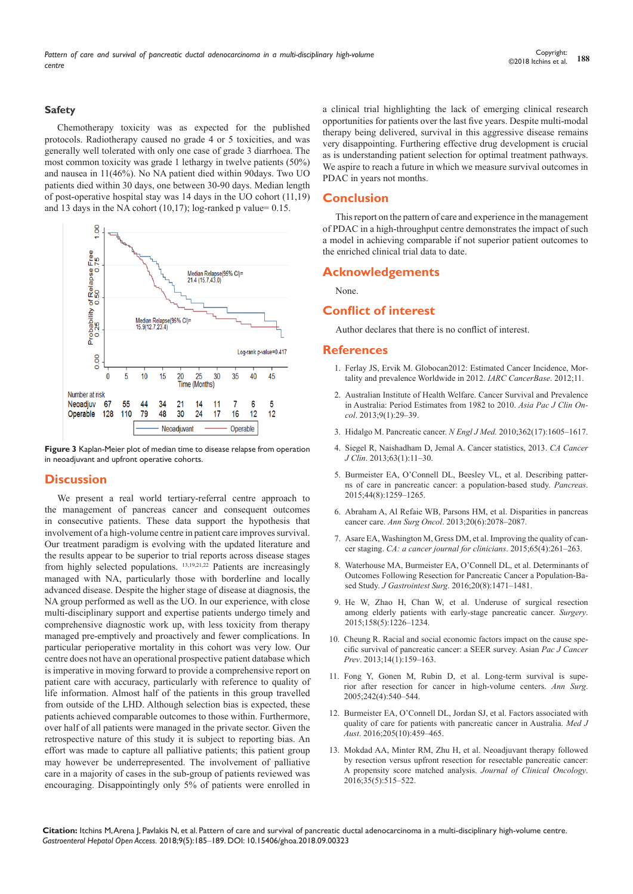#### **Safety**

Chemotherapy toxicity was as expected for the published protocols. Radiotherapy caused no grade 4 or 5 toxicities, and was generally well tolerated with only one case of grade 3 diarrhoea. The most common toxicity was grade 1 lethargy in twelve patients (50%) and nausea in 11(46%). No NA patient died within 90days. Two UO patients died within 30 days, one between 30-90 days. Median length of post-operative hospital stay was 14 days in the UO cohort (11,19) and 13 days in the NA cohort  $(10,17)$ ; log-ranked p value= 0.15.





#### **Discussion**

We present a real world tertiary-referral centre approach to the management of pancreas cancer and consequent outcomes in consecutive patients. These data support the hypothesis that involvement of a high-volume centre in patient care improves survival. Our treatment paradigm is evolving with the updated literature and the results appear to be superior to trial reports across disease stages from highly selected populations.  $13,19,21,22$  Patients are increasingly managed with NA, particularly those with borderline and locally advanced disease. Despite the higher stage of disease at diagnosis, the NA group performed as well as the UO. In our experience, with close multi-disciplinary support and expertise patients undergo timely and comprehensive diagnostic work up, with less toxicity from therapy managed pre-emptively and proactively and fewer complications. In particular perioperative mortality in this cohort was very low. Our centre does not have an operational prospective patient database which is imperative in moving forward to provide a comprehensive report on patient care with accuracy, particularly with reference to quality of life information. Almost half of the patients in this group travelled from outside of the LHD. Although selection bias is expected, these patients achieved comparable outcomes to those within. Furthermore, over half of all patients were managed in the private sector. Given the retrospective nature of this study it is subject to reporting bias. An effort was made to capture all palliative patients; this patient group may however be underrepresented. The involvement of palliative care in a majority of cases in the sub-group of patients reviewed was encouraging. Disappointingly only 5% of patients were enrolled in a clinical trial highlighting the lack of emerging clinical research opportunities for patients over the last five years. Despite multi-modal therapy being delivered, survival in this aggressive disease remains very disappointing. Furthering effective drug development is crucial as is understanding patient selection for optimal treatment pathways. We aspire to reach a future in which we measure survival outcomes in PDAC in years not months.

#### **Conclusion**

This report on the pattern of care and experience in the management of PDAC in a high-throughput centre demonstrates the impact of such a model in achieving comparable if not superior patient outcomes to the enriched clinical trial data to date.

### **Acknowledgements**

None.

## **Conflict of interest**

Author declares that there is no conflict of interest.

#### **References**

- 1. [Ferlay JS, Ervik M. Globocan2012: Estimated Cancer Incidence, Mor](http://globocan.iarc.fr/Default.aspx)[tality and prevalence Worldwide in 2012.](http://globocan.iarc.fr/Default.aspx) *IARC CancerBase*. 2012;11.
- 2. [Australian Institute of Health Welfare. Cancer Survival and Prevalence](https://www.ncbi.nlm.nih.gov/pubmed/23418847)  [in Australia: Period Estimates from 1982 to 2010.](https://www.ncbi.nlm.nih.gov/pubmed/23418847) *Asia Pac J Clin Oncol*[. 2013;9\(1\):29‒39.](https://www.ncbi.nlm.nih.gov/pubmed/23418847)
- 3. [Hidalgo M. Pancreatic cancer.](http://www.nejm.org/doi/full/10.1056/NEJMra0901557) *N Engl J Med.* 2010;362(17):1605-1617.
- 4. [Siegel R, Naishadham D, Jemal A. Cancer statistics, 2013.](https://www.ncbi.nlm.nih.gov/pubmed/23335087) *CA Cancer J Clin*[. 2013;63\(1\):11‒30.](https://www.ncbi.nlm.nih.gov/pubmed/23335087)
- 5. [Burmeister EA, O'Connell DL, Beesley VL, et al. Describing patter](https://www.ncbi.nlm.nih.gov/pubmed/26262591)[ns of care in pancreatic cancer: a population-based study.](https://www.ncbi.nlm.nih.gov/pubmed/26262591) *Pancreas*. [2015;44\(8\):1259‒1265.](https://www.ncbi.nlm.nih.gov/pubmed/26262591)
- 6. [Abraham A, Al Refaie WB, Parsons HM, et al. Disparities in pancreas](https://www.ncbi.nlm.nih.gov/pubmed/23579872)  cancer care. *Ann Surg Oncol.* 2013:20(6):2078–2087.
- 7. [Asare EA, Washington M, Gress DM, et al. Improving the quality of can](http://onlinelibrary.wiley.com/doi/10.3322/caac.21284/full)cer staging. *[CA: a cancer journal for clinicians](http://onlinelibrary.wiley.com/doi/10.3322/caac.21284/full)*. 2015;65(4):261-263.
- 8. [Waterhouse MA, Burmeister EA, O'Connell DL, et al. Determinants of](https://www.ncbi.nlm.nih.gov/pubmed/27184672)  [Outcomes Following Resection for Pancreatic Cancer a Population-Ba](https://www.ncbi.nlm.nih.gov/pubmed/27184672)sed Study. *J Gastrointest Surg.* 2016;20(8):1471-1481.
- 9. [He W, Zhao H, Chan W, et al. Underuse of surgical resection](https://www.ncbi.nlm.nih.gov/pubmed/26138347)  [among elderly patients with early-stage pancreatic cancer.](https://www.ncbi.nlm.nih.gov/pubmed/26138347) *Surgery*. [2015;158\(5\):1226‒1234.](https://www.ncbi.nlm.nih.gov/pubmed/26138347)
- 10. [Cheung R. Racial and social economic factors impact on the cause spe](https://www.ncbi.nlm.nih.gov/pubmed/23534717)[cific survival of pancreatic cancer: a SEER survey. Asian](https://www.ncbi.nlm.nih.gov/pubmed/23534717) *Pac J Cancer Prev*[. 2013;14\(1\):159‒163.](https://www.ncbi.nlm.nih.gov/pubmed/23534717)
- 11. [Fong Y, Gonen M, Rubin D, et al. Long-term survival is supe](https://www.ncbi.nlm.nih.gov/pubmed/16192814/)[rior after resection for cancer in high-volume centers.](https://www.ncbi.nlm.nih.gov/pubmed/16192814/) *Ann Surg*. [2005;242\(4\):540‒544.](https://www.ncbi.nlm.nih.gov/pubmed/16192814/)
- 12. [Burmeister EA, O'Connell DL, Jordan SJ, et al. Factors associated with](https://www.ncbi.nlm.nih.gov/pubmed/27852184)  [quality of care for patients with pancreatic cancer in Australia.](https://www.ncbi.nlm.nih.gov/pubmed/27852184) *Med J Aust*[. 2016;205\(10\):459‒465.](https://www.ncbi.nlm.nih.gov/pubmed/27852184)
- 13. [Mokdad AA, Minter RM, Zhu H, et al. Neoadjuvant therapy followed](http://ascopubs.org/doi/abs/10.1200/jco.2016.68.5081)  [by resection versus upfront resection for resectable pancreatic cancer:](http://ascopubs.org/doi/abs/10.1200/jco.2016.68.5081)  [A propensity score matched analysis.](http://ascopubs.org/doi/abs/10.1200/jco.2016.68.5081) *Journal of Clinical Oncology*. [2016;35\(5\):515‒522.](http://ascopubs.org/doi/abs/10.1200/jco.2016.68.5081)